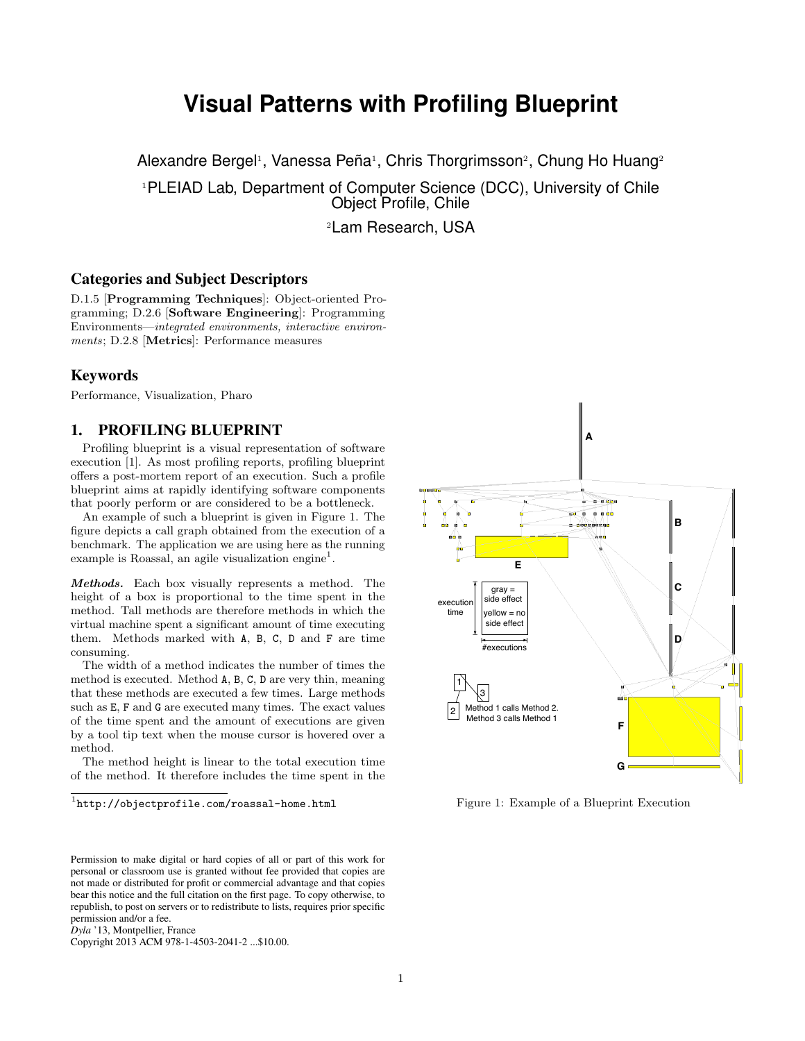# **Visual Patterns with Profiling Blueprint**

Alexandre Bergel<sup>1</sup>, Vanessa Peña<sup>1</sup>, Chris Thorgrimsson<sup>2</sup>, Chung Ho Huang<sup>2</sup>

<sup>1</sup>PLEIAD Lab, Department of Computer Science (DCC), University of Chile Object Profile, Chile

<sup>2</sup>Lam Research, USA

## Categories and Subject Descriptors

D.1.5 [Programming Techniques]: Object-oriented Programming; D.2.6 [Software Engineering]: Programming Environments—integrated environments, interactive environments; D.2.8 [Metrics]: Performance measures

## Keywords

Performance, Visualization, Pharo

## 1. PROFILING BLUEPRINT

Profiling blueprint is a visual representation of software execution [\[1\]](#page-2-0). As most profiling reports, profiling blueprint offers a post-mortem report of an execution. Such a profile blueprint aims at rapidly identifying software components that poorly perform or are considered to be a bottleneck.

An example of such a blueprint is given in Figure [1.](#page-0-0) The figure depicts a call graph obtained from the execution of a benchmark. The application we are using here as the running example is Roassal, an agile visualization engine<sup>[1](#page-0-1)</sup>.

Methods. Each box visually represents a method. The height of a box is proportional to the time spent in the method. Tall methods are therefore methods in which the virtual machine spent a significant amount of time executing them. Methods marked with A, B, C, D and F are time consuming.

The width of a method indicates the number of times the method is executed. Method A, B, C, D are very thin, meaning that these methods are executed a few times. Large methods such as E, F and G are executed many times. The exact values of the time spent and the amount of executions are given by a tool tip text when the mouse cursor is hovered over a method.

The method height is linear to the total execution time of the method. It therefore includes the time spent in the

<span id="page-0-1"></span> $1$ <http://objectprofile.com/roassal-home.html>

<span id="page-0-0"></span>

Figure 1: Example of a Blueprint Execution

*Dyla* '13, Montpellier, France

Copyright 2013 ACM 978-1-4503-2041-2 ...\$10.00.

Permission to make digital or hard copies of all or part of this work for personal or classroom use is granted without fee provided that copies are not made or distributed for profit or commercial advantage and that copies bear this notice and the full citation on the first page. To copy otherwise, to republish, to post on servers or to redistribute to lists, requires prior specific permission and/or a fee.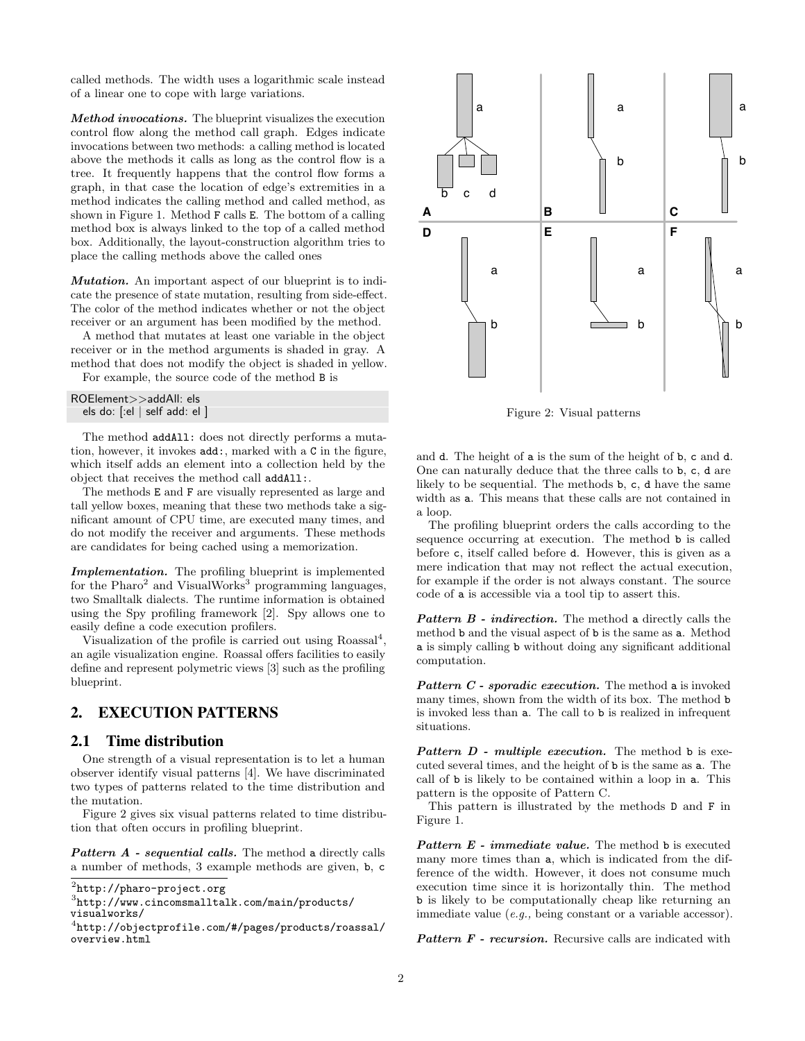called methods. The width uses a logarithmic scale instead of a linear one to cope with large variations.

Method invocations. The blueprint visualizes the execution control flow along the method call graph. Edges indicate invocations between two methods: a calling method is located above the methods it calls as long as the control flow is a tree. It frequently happens that the control flow forms a graph, in that case the location of edge's extremities in a method indicates the calling method and called method, as shown in Figure [1.](#page-0-0) Method F calls E. The bottom of a calling method box is always linked to the top of a called method box. Additionally, the layout-construction algorithm tries to place the calling methods above the called ones

Mutation. An important aspect of our blueprint is to indicate the presence of state mutation, resulting from side-effect. The color of the method indicates whether or not the object receiver or an argument has been modified by the method.

A method that mutates at least one variable in the object receiver or in the method arguments is shaded in gray. A method that does not modify the object is shaded in yellow.

For example, the source code of the method B is

```
ROElement>>addAll: els
els do: [:el | self add: el ]
```
The method addAll: does not directly performs a mutation, however, it invokes add:, marked with a C in the figure, which itself adds an element into a collection held by the object that receives the method call addAll:.

The methods E and F are visually represented as large and tall yellow boxes, meaning that these two methods take a significant amount of CPU time, are executed many times, and do not modify the receiver and arguments. These methods are candidates for being cached using a memorization.

Implementation. The profiling blueprint is implemented for the Pharo<sup>[2](#page-1-0)</sup> and VisualWorks<sup>[3](#page-1-1)</sup> programming languages, two Smalltalk dialects. The runtime information is obtained using the Spy profiling framework [\[2\]](#page-2-1). Spy allows one to easily define a code execution profilers.

Visualization of the profile is carried out using  $Roassal<sup>4</sup>$  $Roassal<sup>4</sup>$  $Roassal<sup>4</sup>$ , an agile visualization engine. Roassal offers facilities to easily define and represent polymetric views [\[3\]](#page-2-2) such as the profiling blueprint.

## 2. EXECUTION PATTERNS

#### 2.1 Time distribution

One strength of a visual representation is to let a human observer identify visual patterns [\[4\]](#page-2-3). We have discriminated two types of patterns related to the time distribution and the mutation.

Figure [2](#page-1-3) gives six visual patterns related to time distribution that often occurs in profiling blueprint.

Pattern A - sequential calls. The method a directly calls a number of methods, 3 example methods are given, b, c

<span id="page-1-3"></span>

Figure 2: Visual patterns

and d. The height of a is the sum of the height of b, c and d. One can naturally deduce that the three calls to b, c, d are likely to be sequential. The methods b, c, d have the same width as a. This means that these calls are not contained in a loop.

The profiling blueprint orders the calls according to the sequence occurring at execution. The method b is called before c, itself called before d. However, this is given as a mere indication that may not reflect the actual execution, for example if the order is not always constant. The source code of a is accessible via a tool tip to assert this.

Pattern  $B$  - indirection. The method a directly calls the method b and the visual aspect of b is the same as a. Method a is simply calling b without doing any significant additional computation.

Pattern  $C$  - sporadic execution. The method a is invoked many times, shown from the width of its box. The method b is invoked less than a. The call to b is realized in infrequent situations.

Pattern  $D$  - multiple execution. The method b is executed several times, and the height of b is the same as a. The call of b is likely to be contained within a loop in a. This pattern is the opposite of Pattern C.

This pattern is illustrated by the methods D and F in Figure [1.](#page-0-0)

Pattern E - immediate value. The method b is executed many more times than a, which is indicated from the difference of the width. However, it does not consume much execution time since it is horizontally thin. The method b is likely to be computationally cheap like returning an immediate value (e.g., being constant or a variable accessor).

**Pattern**  $F$  **- recursion.** Recursive calls are indicated with

<span id="page-1-0"></span> $^2$ <http://pharo-project.org>

<span id="page-1-1"></span><sup>3</sup> [http://www.cincomsmalltalk.com/main/products/](http://www.cincomsmalltalk.com/main/products/visualworks/) [visualworks/](http://www.cincomsmalltalk.com/main/products/visualworks/)

<span id="page-1-2"></span><sup>4</sup> [http://objectprofile.com/#/pages/products/roassal/](http://objectprofile.com/#/pages/products/roassal/overview.html) [overview.html](http://objectprofile.com/#/pages/products/roassal/overview.html)